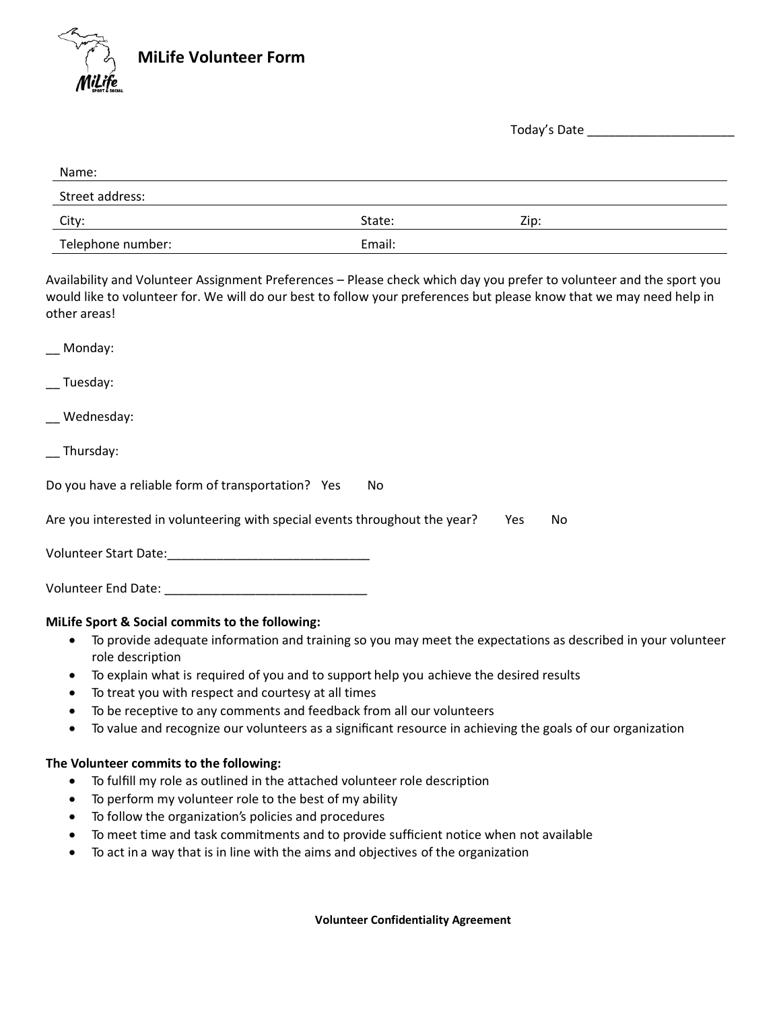

Today's Date \_\_\_\_\_\_\_\_\_\_\_\_\_\_\_\_\_\_

| Name:             |        |      |
|-------------------|--------|------|
| Street address:   |        |      |
| City:             | State: | Zip: |
| Telephone number: | Email: |      |

Availability and Volunteer Assignment Preferences – Please check which day you prefer to volunteer and the sport you would like to volunteer for. We will do our best to follow your preferences but please know that we may need help in other areas!

| __ Monday:                                                                               |
|------------------------------------------------------------------------------------------|
| __ Tuesday:                                                                              |
| _ Wednesday:                                                                             |
| $\overline{\phantom{a}}$ Thursday:                                                       |
| Do you have a reliable form of transportation? Yes<br>No.                                |
| Are you interested in volunteering with special events throughout the year?<br>Yes<br>No |
|                                                                                          |
|                                                                                          |
| MiLife Sport & Social commits to the following:                                          |

- To provide adequate information and training so you may meet the expectations as described in your volunteer role description
- To explain what is required of you and to support help you achieve the desired results
- To treat you with respect and courtesy at all times
- To be receptive to any comments and feedback from all our volunteers
- To value and recognize our volunteers as a significant resource in achieving the goals of our organization

## **The Volunteer commits to the following:**

- To fulfill my role as outlined in the attached volunteer role description
- To perform my volunteer role to the best of my ability
- To follow the organization's policies and procedures
- To meet time and task commitments and to provide sufficient notice when not available
- To act in a way that is in line with the aims and objectives of the organization

**Volunteer Confidentiality Agreement**